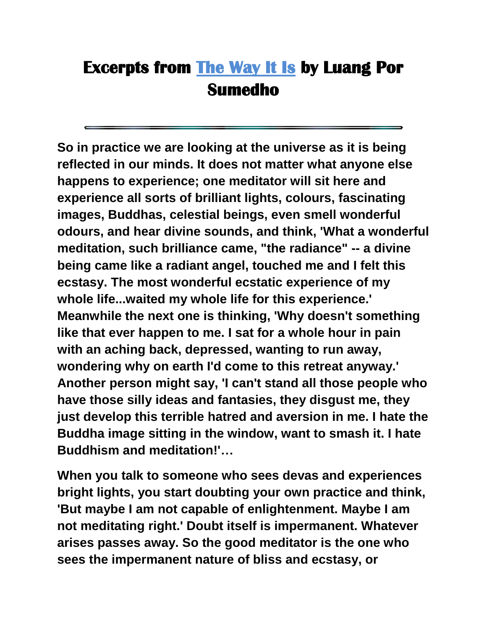## **Excerpts from [The Way It Is](http://www.amaravati.org/abm/english/documents/the_way_it_is/index.html) by Luang Por Sumedho**

**So in practice we are looking at the universe as it is being reflected in our minds. It does not matter what anyone else happens to experience; one meditator will sit here and experience all sorts of brilliant lights, colours, fascinating images, Buddhas, celestial beings, even smell wonderful odours, and hear divine sounds, and think, 'What a wonderful meditation, such brilliance came, "the radiance" -- a divine being came like a radiant angel, touched me and I felt this ecstasy. The most wonderful ecstatic experience of my whole life...waited my whole life for this experience.' Meanwhile the next one is thinking, 'Why doesn't something like that ever happen to me. I sat for a whole hour in pain with an aching back, depressed, wanting to run away, wondering why on earth I'd come to this retreat anyway.' Another person might say, 'I can't stand all those people who have those silly ideas and fantasies, they disgust me, they just develop this terrible hatred and aversion in me. I hate the Buddha image sitting in the window, want to smash it. I hate Buddhism and meditation!'…**

**When you talk to someone who sees devas and experiences bright lights, you start doubting your own practice and think, 'But maybe I am not capable of enlightenment. Maybe I am not meditating right.' Doubt itself is impermanent. Whatever arises passes away. So the good meditator is the one who sees the impermanent nature of bliss and ecstasy, or**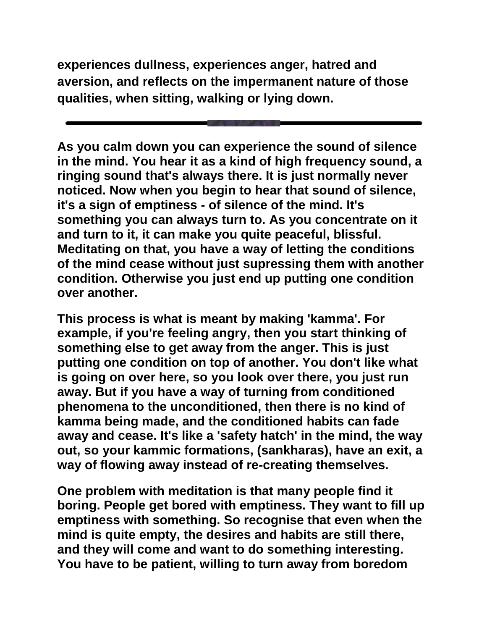**experiences dullness, experiences anger, hatred and aversion, and reflects on the impermanent nature of those qualities, when sitting, walking or lying down.**

**As you calm down you can experience the sound of silence in the mind. You hear it as a kind of high frequency sound, a ringing sound that's always there. It is just normally never noticed. Now when you begin to hear that sound of silence, it's a sign of emptiness - of silence of the mind. It's something you can always turn to. As you concentrate on it and turn to it, it can make you quite peaceful, blissful. Meditating on that, you have a way of letting the conditions of the mind cease without just supressing them with another condition. Otherwise you just end up putting one condition over another.** 

**This process is what is meant by making 'kamma'. For example, if you're feeling angry, then you start thinking of something else to get away from the anger. This is just putting one condition on top of another. You don't like what is going on over here, so you look over there, you just run away. But if you have a way of turning from conditioned phenomena to the unconditioned, then there is no kind of kamma being made, and the conditioned habits can fade away and cease. It's like a 'safety hatch' in the mind, the way out, so your kammic formations, (sankharas), have an exit, a way of flowing away instead of re-creating themselves.** 

**One problem with meditation is that many people find it boring. People get bored with emptiness. They want to fill up emptiness with something. So recognise that even when the mind is quite empty, the desires and habits are still there, and they will come and want to do something interesting. You have to be patient, willing to turn away from boredom**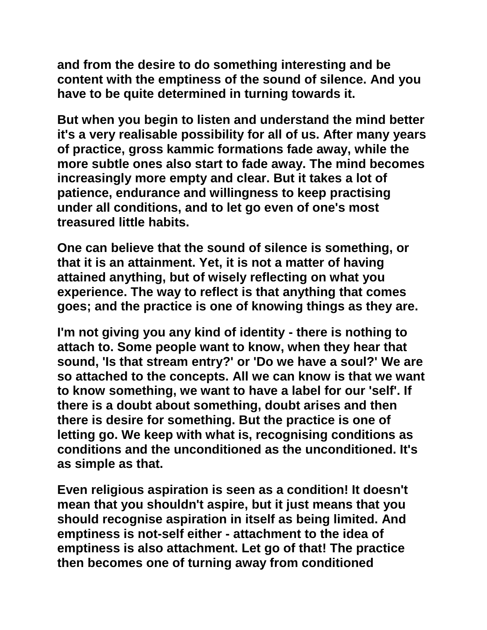**and from the desire to do something interesting and be content with the emptiness of the sound of silence. And you have to be quite determined in turning towards it.** 

**But when you begin to listen and understand the mind better it's a very realisable possibility for all of us. After many years of practice, gross kammic formations fade away, while the more subtle ones also start to fade away. The mind becomes increasingly more empty and clear. But it takes a lot of patience, endurance and willingness to keep practising under all conditions, and to let go even of one's most treasured little habits.** 

**One can believe that the sound of silence is something, or that it is an attainment. Yet, it is not a matter of having attained anything, but of wisely reflecting on what you experience. The way to reflect is that anything that comes goes; and the practice is one of knowing things as they are.** 

**I'm not giving you any kind of identity - there is nothing to attach to. Some people want to know, when they hear that sound, 'Is that stream entry?' or 'Do we have a soul?' We are so attached to the concepts. All we can know is that we want to know something, we want to have a label for our 'self'. If there is a doubt about something, doubt arises and then there is desire for something. But the practice is one of letting go. We keep with what is, recognising conditions as conditions and the unconditioned as the unconditioned. It's as simple as that.** 

**Even religious aspiration is seen as a condition! It doesn't mean that you shouldn't aspire, but it just means that you should recognise aspiration in itself as being limited. And emptiness is not-self either - attachment to the idea of emptiness is also attachment. Let go of that! The practice then becomes one of turning away from conditioned**